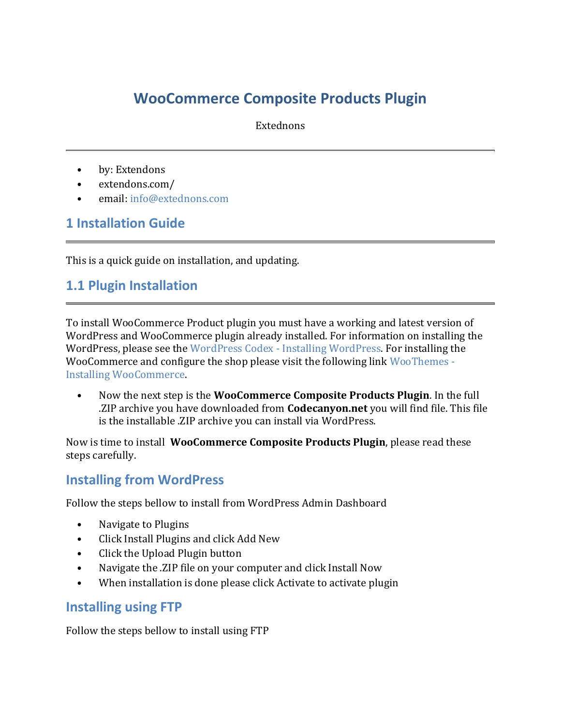# **WooCommerce Composite Products Plugin**

Extednons

- by: Extendons
- extendons.com/
- email: [info@extednons.com](mailto:info@extednons.com)

### **1 Installation Guide**

This is a quick guide on installation, and updating.

### **1.1 Plugin Installation**

To install WooCommerce Product plugin you must have a working and latest version of WordPress and WooCommerce plugin already installed. For information on installing the WordPress, please see the WordPress Codex - [Installing WordPress.](http://codex.wordpress.org/Installing_WordPress) For installing the WooCommerce and configure the shop please visit the following link [WooThemes -](https://docs.woothemes.com/document/installing-uninstalling-woocommerce/) [Installing WooCommerce.](https://docs.woothemes.com/document/installing-uninstalling-woocommerce/)

• Now the next step is the **WooCommerce Composite Products Plugin**. In the full .ZIP archive you have downloaded from **Codecanyon.net** you will find file. This file is the installable .ZIP archive you can install via WordPress.

Now is time to install **WooCommerce Composite Products Plugin**, please read these steps carefully.

#### **Installing from WordPress**

Follow the steps bellow to install from WordPress Admin Dashboard

- Navigate to Plugins
- Click Install Plugins and click Add New
- Click the Upload Plugin button
- Navigate the .ZIP file on your computer and click Install Now
- When installation is done please click Activate to activate plugin

#### **Installing using FTP**

Follow the steps bellow to install using FTP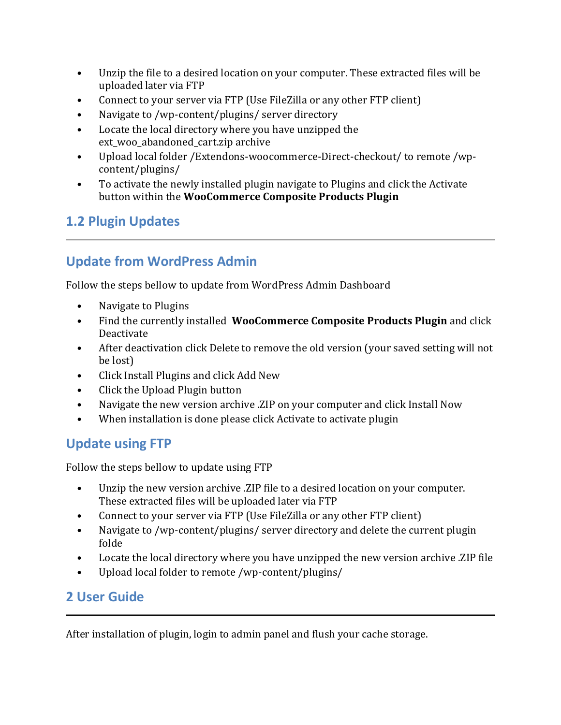- Unzip the file to a desired location on your computer. These extracted files will be uploaded later via FTP
- Connect to your server via FTP (Use FileZilla or any other FTP client)
- Navigate to /wp-content/plugins/ server directory
- Locate the local directory where you have unzipped the ext woo abandoned cart.zip archive
- Upload local folder /Extendons-woocommerce-Direct-checkout/ to remote /wpcontent/plugins/
- To activate the newly installed plugin navigate to Plugins and click the Activate button within the **WooCommerce Composite Products Plugin**

## **1.2 Plugin Updates**

## **Update from WordPress Admin**

Follow the steps bellow to update from WordPress Admin Dashboard

- Navigate to Plugins
- Find the currently installed **WooCommerce Composite Products Plugin** and click Deactivate
- After deactivation click Delete to remove the old version (your saved setting will not be lost)
- Click Install Plugins and click Add New
- Click the Upload Plugin button
- Navigate the new version archive .ZIP on your computer and click Install Now
- When installation is done please click Activate to activate plugin

## **Update using FTP**

Follow the steps bellow to update using FTP

- Unzip the new version archive .ZIP file to a desired location on your computer. These extracted files will be uploaded later via FTP
- Connect to your server via FTP (Use FileZilla or any other FTP client)
- Navigate to /wp-content/plugins/ server directory and delete the current plugin folde
- Locate the local directory where you have unzipped the new version archive .ZIP file
- Upload local folder to remote /wp-content/plugins/

## **2 User Guide**

After installation of plugin, login to admin panel and flush your cache storage.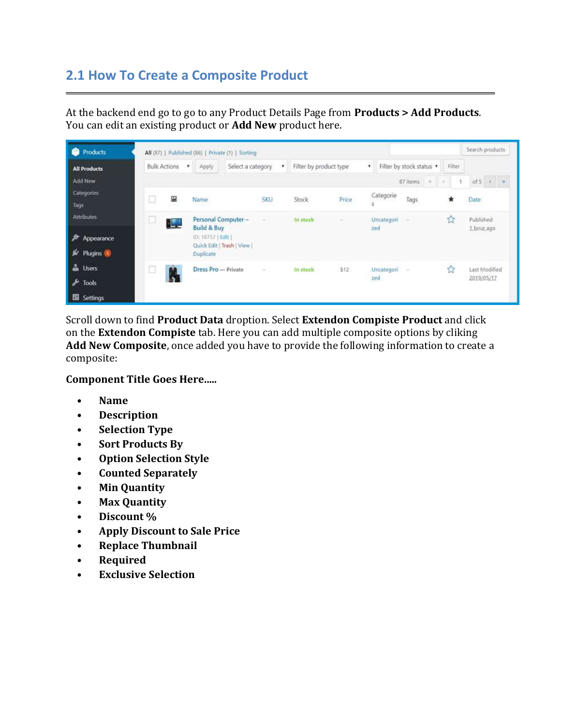## **2.1 How To Create a Composite Product**

At the backend end go to go to any Product Details Page from **Products > Add Products**. You can edit an existing product or **Add New** product here.

| Products<br>m                                           | All (87)   Published (86)   Private (1)   Sorting |                                                                                                                 |                       |                           |        |                   |                           |        |                                  |
|---------------------------------------------------------|---------------------------------------------------|-----------------------------------------------------------------------------------------------------------------|-----------------------|---------------------------|--------|-------------------|---------------------------|--------|----------------------------------|
| <b>All Products</b>                                     | <b>Bulk Actions</b>                               | Apply<br>Select a category<br>٠                                                                                 | ۰.                    | Filter by product type    |        |                   | Filter by stock status    | Filter |                                  |
| <b>Add New</b>                                          |                                                   |                                                                                                                 |                       |                           |        |                   | 87 items<br>$\frac{1}{2}$ |        | of 5 $\rightarrow$ $\rightarrow$ |
| Categories<br>Tags                                      | 圗<br>u                                            | Name<br>---                                                                                                     | SKU<br><b>Provide</b> | Stock<br>-969.90          | Price  | Categorie         | Tags                      | ★      | Date<br>--                       |
| <b>Attributes</b><br>Appearance<br>Plugins <sup>6</sup> | للبال                                             | Personal Computer -<br><b>Build &amp; Buy</b><br>ID: 18757   Edit  <br>Quick Edit   Trash   View  <br>Duplicate | $\sim$                | In stock<br><b>Linked</b> | $\sim$ | Uncategori<br>zed | ÷                         | 立      | Published<br>1 hour ago          |
| <b>Users</b><br>Tools<br>Settings<br>в                  | r,                                                | Dress Pro - Private                                                                                             | $\sim$                | In stock                  | \$12   | Uncategori<br>zed | $\sim$                    | ☆      | Last Modified<br>2019/05/17      |

Scroll down to find **Product Data** droption. Select **Extendon Compiste Product** and click on the **Extendon Compiste** tab. Here you can add multiple composite options by cliking **Add New Composite**, once added you have to provide the following information to create a composite:

#### **Component Title Goes Here.....**

- **Name**
- **Description**
- **Selection Type**
- **Sort Products By**
- **Option Selection Style**
- **Counted Separately**
- **Min Quantity**
- **Max Quantity**
- **Discount %**
- **Apply Discount to Sale Price**
- **Replace Thumbnail**
- **Required**
- **Exclusive Selection**